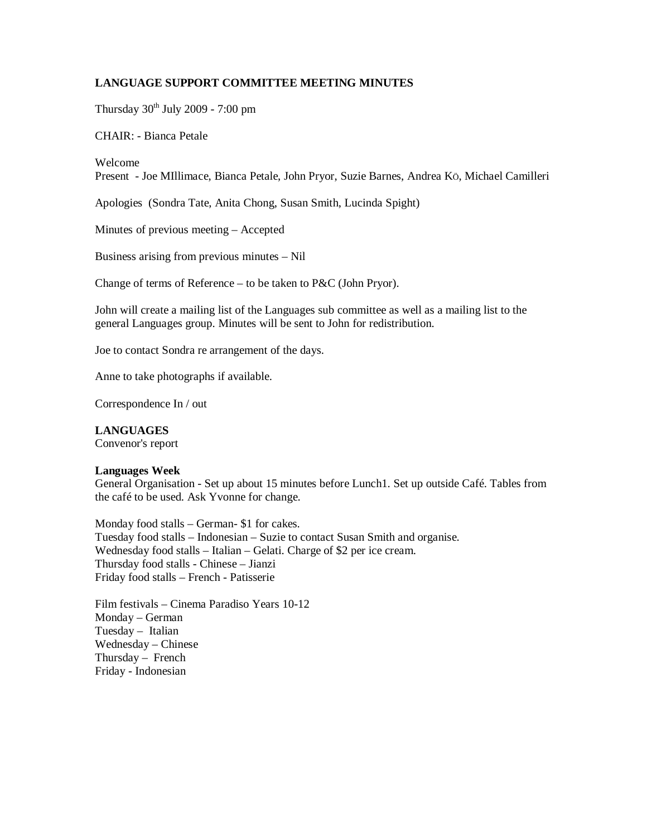## **LANGUAGE SUPPORT COMMITTEE MEETING MINUTES**

Thursday  $30<sup>th</sup>$  July 2009 - 7:00 pm

CHAIR: - Bianca Petale

Welcome

Present - Joe MIllimace, Bianca Petale, John Pryor, Suzie Barnes, Andrea KÖ, Michael Camilleri

Apologies (Sondra Tate, Anita Chong, Susan Smith, Lucinda Spight)

Minutes of previous meeting – Accepted

Business arising from previous minutes – Nil

Change of terms of Reference – to be taken to P&C (John Pryor).

John will create a mailing list of the Languages sub committee as well as a mailing list to the general Languages group. Minutes will be sent to John for redistribution.

Joe to contact Sondra re arrangement of the days.

Anne to take photographs if available.

Correspondence In / out

## **LANGUAGES**

Convenor's report

### **Languages Week**

General Organisation - Set up about 15 minutes before Lunch1. Set up outside Café. Tables from the café to be used. Ask Yvonne for change.

Monday food stalls – German- \$1 for cakes. Tuesday food stalls – Indonesian – Suzie to contact Susan Smith and organise. Wednesday food stalls – Italian – Gelati. Charge of \$2 per ice cream. Thursday food stalls - Chinese – Jianzi Friday food stalls – French - Patisserie

Film festivals – Cinema Paradiso Years 10-12 Monday – German Tuesday – Italian Wednesday – Chinese Thursday – French Friday - Indonesian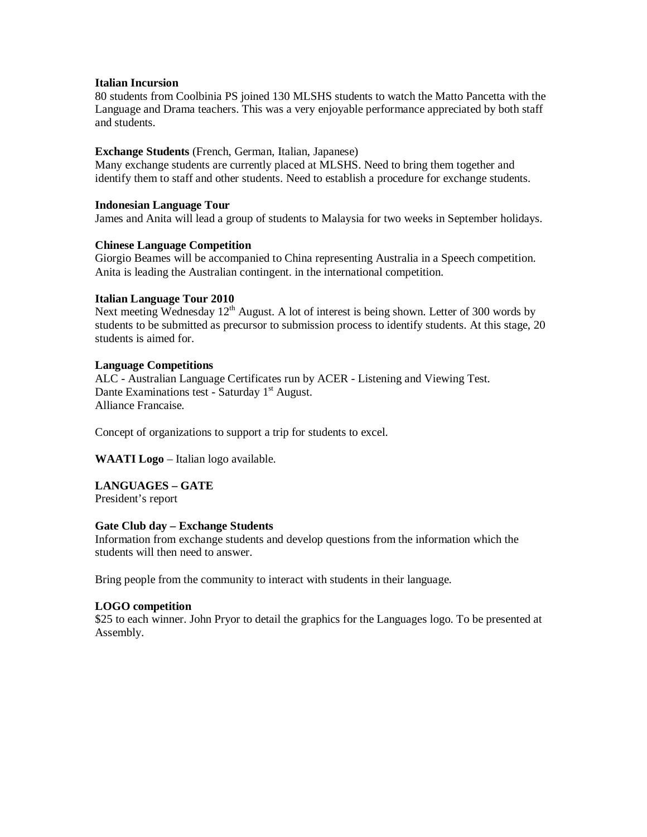#### **Italian Incursion**

80 students from Coolbinia PS joined 130 MLSHS students to watch the Matto Pancetta with the Language and Drama teachers. This was a very enjoyable performance appreciated by both staff and students.

## **Exchange Students** (French, German, Italian, Japanese)

Many exchange students are currently placed at MLSHS. Need to bring them together and identify them to staff and other students. Need to establish a procedure for exchange students.

## **Indonesian Language Tour**

James and Anita will lead a group of students to Malaysia for two weeks in September holidays.

#### **Chinese Language Competition**

Giorgio Beames will be accompanied to China representing Australia in a Speech competition. Anita is leading the Australian contingent. in the international competition.

#### **Italian Language Tour 2010**

Next meeting Wednesday  $12<sup>th</sup>$  August. A lot of interest is being shown. Letter of 300 words by students to be submitted as precursor to submission process to identify students. At this stage, 20 students is aimed for.

#### **Language Competitions**

ALC - Australian Language Certificates run by ACER - Listening and Viewing Test. Dante Examinations test - Saturday  $1<sup>st</sup>$  August. Alliance Francaise.

Concept of organizations to support a trip for students to excel.

**WAATI Logo** – Italian logo available.

# **LANGUAGES – GATE**

President's report

## **Gate Club day – Exchange Students**

Information from exchange students and develop questions from the information which the students will then need to answer.

Bring people from the community to interact with students in their language.

## **LOGO competition**

\$25 to each winner. John Pryor to detail the graphics for the Languages logo. To be presented at Assembly.